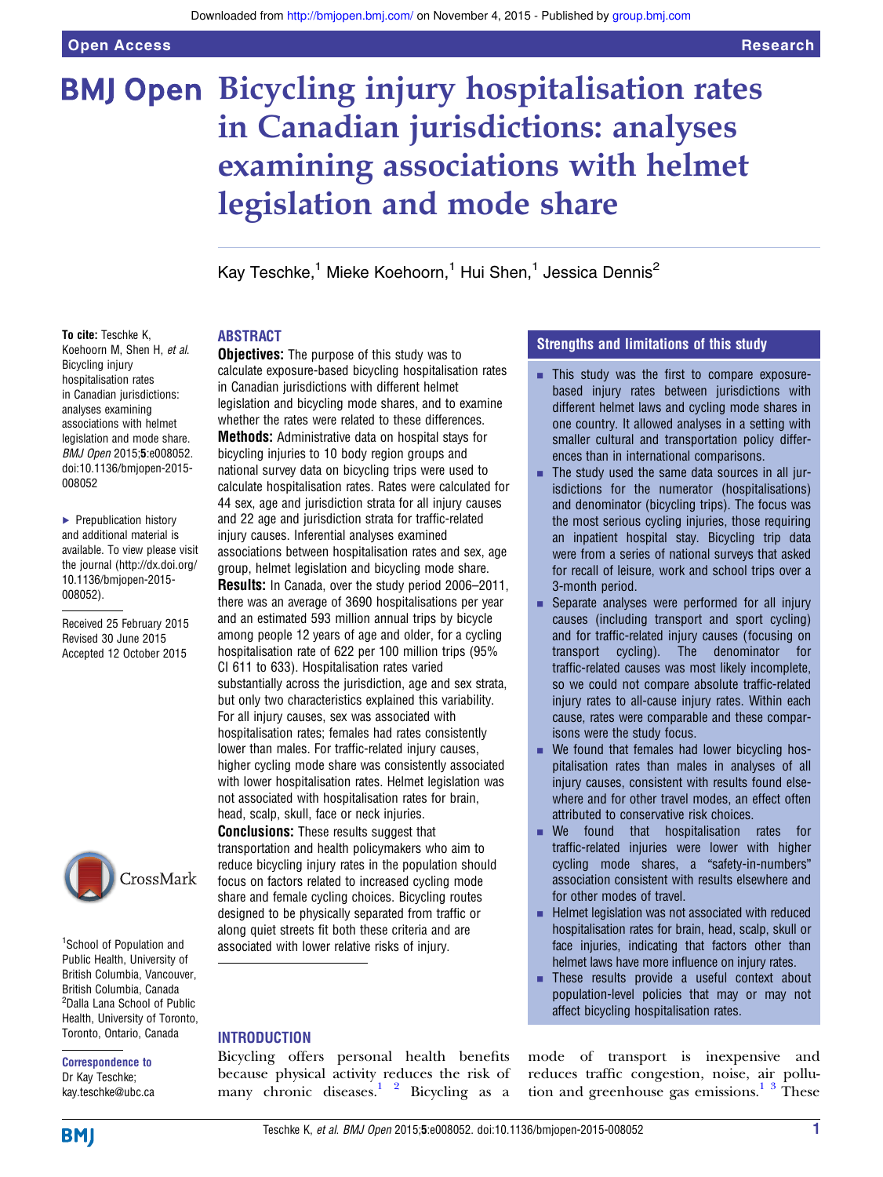# **BMJ Open Bicycling injury hospitalisation rates** in Canadian jurisdictions: analyses examining associations with helmet legislation and mode share

Kay Teschke,<sup>1</sup> Mieke Koehoorn,<sup>1</sup> Hui Shen,<sup>1</sup> Jessica Dennis<sup>2</sup>

#### To cite: Teschke K, Koehoorn M, Shen H, et al. Bicycling injury hospitalisation rates in Canadian jurisdictions: analyses examining associations with helmet legislation and mode share. BMJ Open 2015;5:e008052. doi:10.1136/bmjopen-2015- 008052

▶ Prepublication history and additional material is available. To view please visit the journal [\(http://dx.doi.org/](http://dx.doi.org/10.1136/bmjopen-2015-008052) [10.1136/bmjopen-2015-](http://dx.doi.org/10.1136/bmjopen-2015-008052) [008052\)](http://dx.doi.org/10.1136/bmjopen-2015-008052).

Received 25 February 2015 Revised 30 June 2015 Accepted 12 October 2015



<sup>1</sup>School of Population and Public Health, University of British Columbia, Vancouver, British Columbia, Canada <sup>2</sup>Dalla Lana School of Public Health, University of Toronto, Toronto, Ontario, Canada

Correspondence to Dr Kay Teschke; kay.teschke@ubc.ca

# ABSTRACT

**Objectives:** The purpose of this study was to calculate exposure-based bicycling hospitalisation rates in Canadian jurisdictions with different helmet legislation and bicycling mode shares, and to examine whether the rates were related to these differences. **Methods:** Administrative data on hospital stays for bicycling injuries to 10 body region groups and national survey data on bicycling trips were used to calculate hospitalisation rates. Rates were calculated for 44 sex, age and jurisdiction strata for all injury causes and 22 age and jurisdiction strata for traffic-related injury causes. Inferential analyses examined associations between hospitalisation rates and sex, age group, helmet legislation and bicycling mode share.

Results: In Canada, over the study period 2006–2011, there was an average of 3690 hospitalisations per year and an estimated 593 million annual trips by bicycle among people 12 years of age and older, for a cycling hospitalisation rate of 622 per 100 million trips (95% CI 611 to 633). Hospitalisation rates varied substantially across the jurisdiction, age and sex strata, but only two characteristics explained this variability. For all injury causes, sex was associated with hospitalisation rates; females had rates consistently lower than males. For traffic-related injury causes, higher cycling mode share was consistently associated with lower hospitalisation rates. Helmet legislation was not associated with hospitalisation rates for brain, head, scalp, skull, face or neck injuries.

**Conclusions:** These results suggest that transportation and health policymakers who aim to reduce bicycling injury rates in the population should focus on factors related to increased cycling mode share and female cycling choices. Bicycling routes designed to be physically separated from traffic or along quiet streets fit both these criteria and are associated with lower relative risks of injury.

# **INTRODUCTION**

Bicycling offers personal health benefits because physical activity reduces the risk of many chronic diseases.<sup>1</sup> <sup>2</sup> Bicycling as a

Strengths and limitations of this study

- **This study was the first to compare exposure**based injury rates between jurisdictions with different helmet laws and cycling mode shares in one country. It allowed analyses in a setting with smaller cultural and transportation policy differences than in international comparisons.
- The study used the same data sources in all jurisdictions for the numerator (hospitalisations) and denominator (bicycling trips). The focus was the most serious cycling injuries, those requiring an inpatient hospital stay. Bicycling trip data were from a series of national surveys that asked for recall of leisure, work and school trips over a 3-month period.
- $\blacksquare$  Separate analyses were performed for all injury causes (including transport and sport cycling) and for traffic-related injury causes (focusing on transport cycling). The denominator for traffic-related causes was most likely incomplete, so we could not compare absolute traffic-related injury rates to all-cause injury rates. Within each cause, rates were comparable and these comparisons were the study focus.
- $\blacksquare$  We found that females had lower bicycling hospitalisation rates than males in analyses of all injury causes, consistent with results found elsewhere and for other travel modes, an effect often attributed to conservative risk choices.
- We found that hospitalisation rates for traffic-related injuries were lower with higher cycling mode shares, a "safety-in-numbers" association consistent with results elsewhere and for other modes of travel.
- $\blacksquare$  Helmet legislation was not associated with reduced hospitalisation rates for brain, head, scalp, skull or face injuries, indicating that factors other than helmet laws have more influence on injury rates.
- $\blacksquare$  These results provide a useful context about population-level policies that may or may not affect bicycling hospitalisation rates.

mode of transport is inexpensive and reduces traffic congestion, noise, air pollution and greenhouse gas emissions. $1^3$  These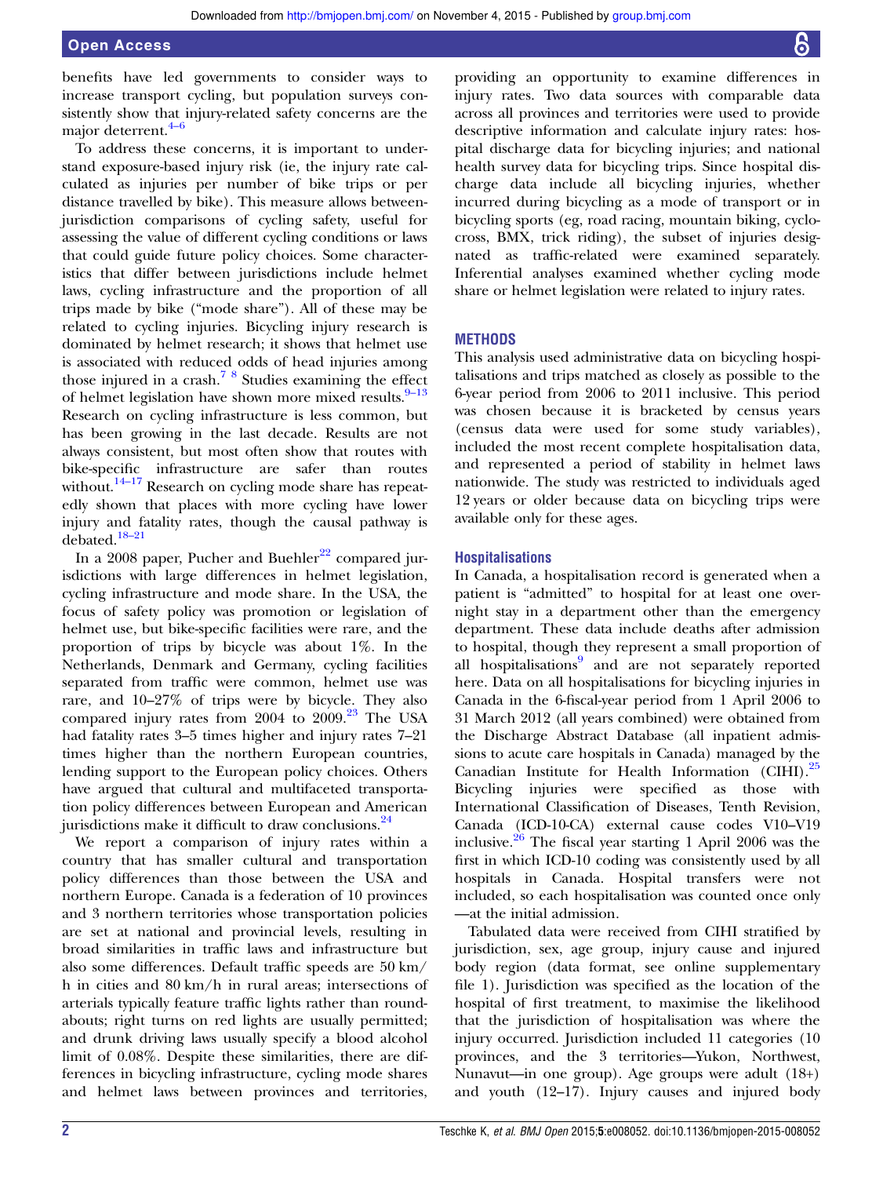Open Access

benefits have led governments to consider ways to increase transport cycling, but population surveys consistently show t[hat](#page-10-0) injury-related safety concerns are the major deterrent.<sup>4–6</sup>

To address these concerns, it is important to understand exposure-based injury risk (ie, the injury rate calculated as injuries per number of bike trips or per distance travelled by bike). This measure allows betweenjurisdiction comparisons of cycling safety, useful for assessing the value of different cycling conditions or laws that could guide future policy choices. Some characteristics that differ between jurisdictions include helmet laws, cycling infrastructure and the proportion of all trips made by bike ("mode share"). All of these may be related to cycling injuries. Bicycling injury research is dominated by helmet research; it shows that helmet use is associated with reduced odds of head injuries among those injured in a crash.[7 8](#page-10-0) Studies examining the effect of helmet legislation have shown more mixed results. $9-13$  $9-13$ Research on cycling infrastructure is less common, but has been growing in the last decade. Results are not always consistent, but most often show that routes with bike-specific infrastructure are safer than routes without.<sup>14–[17](#page-10-0)</sup> Research on cycling mode share has repeatedly shown that places with more cycling have lower injury and fatality rates, though the causal pathway is debated.[18](#page-10-0)–<sup>21</sup>

In a 2008 paper, Pucher and Buehler<sup>[22](#page-10-0)</sup> compared jurisdictions with large differences in helmet legislation, cycling infrastructure and mode share. In the USA, the focus of safety policy was promotion or legislation of helmet use, but bike-specific facilities were rare, and the proportion of trips by bicycle was about 1%. In the Netherlands, Denmark and Germany, cycling facilities separated from traffic were common, helmet use was rare, and 10–27% of trips were by bicycle. They also compared injury rates from  $2004$  to  $2009.<sup>23</sup>$  $2009.<sup>23</sup>$  $2009.<sup>23</sup>$  The USA had fatality rates 3–5 times higher and injury rates 7–21 times higher than the northern European countries, lending support to the European policy choices. Others have argued that cultural and multifaceted transportation policy differences between European and American jurisdictions make it difficult to draw conclusions. $24$ 

We report a comparison of injury rates within a country that has smaller cultural and transportation policy differences than those between the USA and northern Europe. Canada is a federation of 10 provinces and 3 northern territories whose transportation policies are set at national and provincial levels, resulting in broad similarities in traffic laws and infrastructure but also some differences. Default traffic speeds are 50 km/ h in cities and 80 km/h in rural areas; intersections of arterials typically feature traffic lights rather than roundabouts; right turns on red lights are usually permitted; and drunk driving laws usually specify a blood alcohol limit of 0.08%. Despite these similarities, there are differences in bicycling infrastructure, cycling mode shares and helmet laws between provinces and territories,

providing an opportunity to examine differences in injury rates. Two data sources with comparable data across all provinces and territories were used to provide descriptive information and calculate injury rates: hospital discharge data for bicycling injuries; and national health survey data for bicycling trips. Since hospital discharge data include all bicycling injuries, whether incurred during bicycling as a mode of transport or in bicycling sports (eg, road racing, mountain biking, cyclocross, BMX, trick riding), the subset of injuries designated as traffic-related were examined separately. Inferential analyses examined whether cycling mode share or helmet legislation were related to injury rates.

# **METHODS**

This analysis used administrative data on bicycling hospitalisations and trips matched as closely as possible to the 6-year period from 2006 to 2011 inclusive. This period was chosen because it is bracketed by census years (census data were used for some study variables), included the most recent complete hospitalisation data, and represented a period of stability in helmet laws nationwide. The study was restricted to individuals aged 12 years or older because data on bicycling trips were available only for these ages.

### **Hospitalisations**

In Canada, a hospitalisation record is generated when a patient is "admitted" to hospital for at least one overnight stay in a department other than the emergency department. These data include deaths after admission to hospital, though they represent a small proportion of all hospitalisations<sup>[9](#page-10-0)</sup> and are not separately reported here. Data on all hospitalisations for bicycling injuries in Canada in the 6-fiscal-year period from 1 April 2006 to 31 March 2012 (all years combined) were obtained from the Discharge Abstract Database (all inpatient admissions to acute care hospitals in Canada) managed by the Canadian Institute for Health Information (CIHI).<sup>[25](#page-10-0)</sup> Bicycling injuries were specified as those with International Classification of Diseases, Tenth Revision, Canada (ICD-10-CA) external cause codes V10–V19 inclusive. $26$  The fiscal year starting 1 April 2006 was the first in which ICD-10 coding was consistently used by all hospitals in Canada. Hospital transfers were not included, so each hospitalisation was counted once only —at the initial admission.

Tabulated data were received from CIHI stratified by jurisdiction, sex, age group, injury cause and injured body region (data format, see online supplementary file 1). Jurisdiction was specified as the location of the hospital of first treatment, to maximise the likelihood that the jurisdiction of hospitalisation was where the injury occurred. Jurisdiction included 11 categories (10 provinces, and the 3 territories—Yukon, Northwest, Nunavut—in one group). Age groups were adult (18+) and youth (12–17). Injury causes and injured body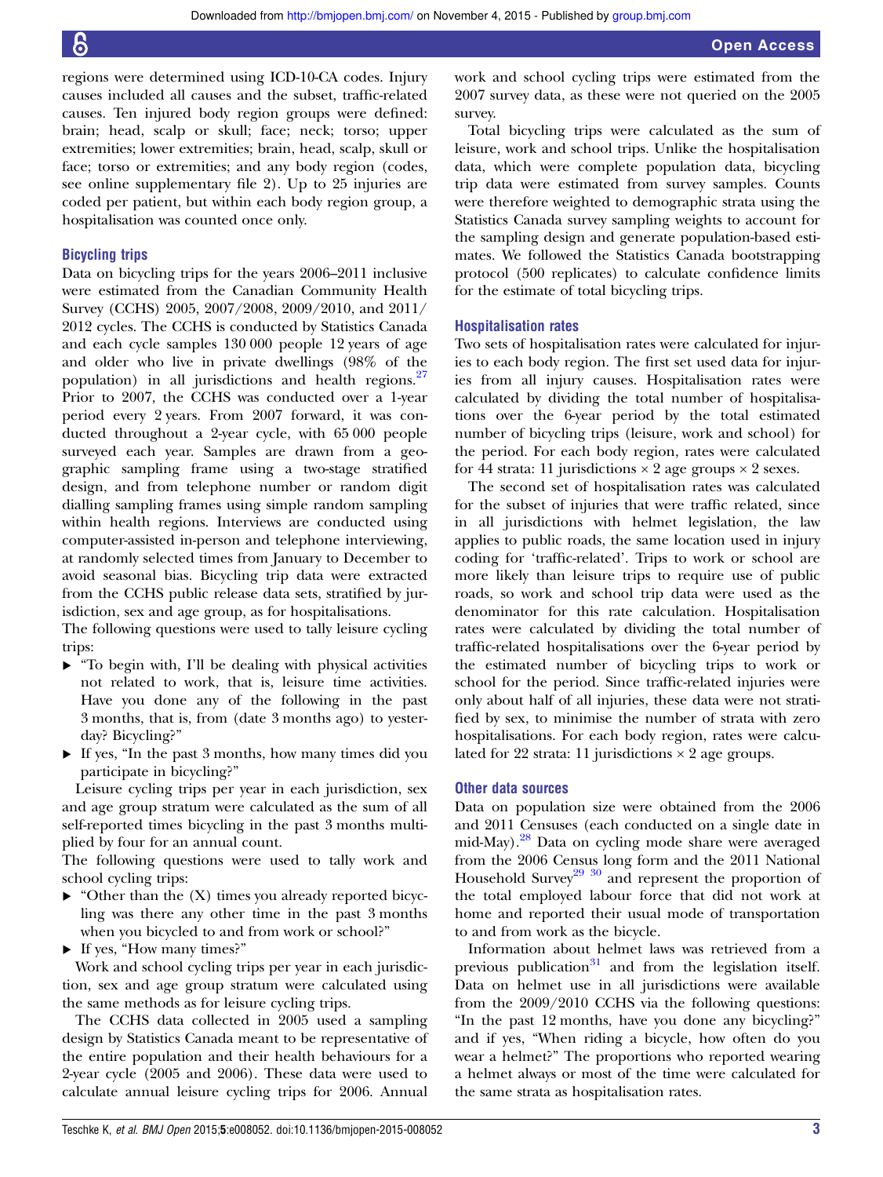regions were determined using ICD-10-CA codes. Injury causes included all causes and the subset, traffic-related causes. Ten injured body region groups were defined: brain; head, scalp or skull; face; neck; torso; upper extremities; lower extremities; brain, head, scalp, skull or face; torso or extremities; and any body region (codes, see online supplementary file 2). Up to 25 injuries are coded per patient, but within each body region group, a hospitalisation was counted once only.

# Bicycling trips

Data on bicycling trips for the years 2006–2011 inclusive were estimated from the Canadian Community Health Survey (CCHS) 2005, 2007/2008, 2009/2010, and 2011/ 2012 cycles. The CCHS is conducted by Statistics Canada and each cycle samples 130 000 people 12 years of age and older who live in private dwellings (98% of the population) in all jurisdictions and health regions. $27$ Prior to 2007, the CCHS was conducted over a 1-year period every 2 years. From 2007 forward, it was conducted throughout a 2-year cycle, with 65 000 people surveyed each year. Samples are drawn from a geographic sampling frame using a two-stage stratified design, and from telephone number or random digit dialling sampling frames using simple random sampling within health regions. Interviews are conducted using computer-assisted in-person and telephone interviewing, at randomly selected times from January to December to avoid seasonal bias. Bicycling trip data were extracted from the CCHS public release data sets, stratified by jurisdiction, sex and age group, as for hospitalisations.

The following questions were used to tally leisure cycling trips:

- ▸ "To begin with, I'll be dealing with physical activities not related to work, that is, leisure time activities. Have you done any of the following in the past 3 months, that is, from (date 3 months ago) to yesterday? Bicycling?"
- ▸ If yes, "In the past 3 months, how many times did you participate in bicycling?"

Leisure cycling trips per year in each jurisdiction, sex and age group stratum were calculated as the sum of all self-reported times bicycling in the past 3 months multiplied by four for an annual count.

The following questions were used to tally work and school cycling trips:

- $\triangleright$  "Other than the (X) times you already reported bicycling was there any other time in the past 3 months when you bicycled to and from work or school?"
- ▸ If yes, "How many times?"

Work and school cycling trips per year in each jurisdiction, sex and age group stratum were calculated using the same methods as for leisure cycling trips.

The CCHS data collected in 2005 used a sampling design by Statistics Canada meant to be representative of the entire population and their health behaviours for a 2-year cycle (2005 and 2006). These data were used to calculate annual leisure cycling trips for 2006. Annual work and school cycling trips were estimated from the 2007 survey data, as these were not queried on the 2005 survey.

Total bicycling trips were calculated as the sum of leisure, work and school trips. Unlike the hospitalisation data, which were complete population data, bicycling trip data were estimated from survey samples. Counts were therefore weighted to demographic strata using the Statistics Canada survey sampling weights to account for the sampling design and generate population-based estimates. We followed the Statistics Canada bootstrapping protocol (500 replicates) to calculate confidence limits for the estimate of total bicycling trips.

#### Hospitalisation rates

Two sets of hospitalisation rates were calculated for injuries to each body region. The first set used data for injuries from all injury causes. Hospitalisation rates were calculated by dividing the total number of hospitalisations over the 6-year period by the total estimated number of bicycling trips (leisure, work and school) for the period. For each body region, rates were calculated for 44 strata: 11 jurisdictions  $\times$  2 age groups  $\times$  2 sexes.

The second set of hospitalisation rates was calculated for the subset of injuries that were traffic related, since in all jurisdictions with helmet legislation, the law applies to public roads, the same location used in injury coding for 'traffic-related'. Trips to work or school are more likely than leisure trips to require use of public roads, so work and school trip data were used as the denominator for this rate calculation. Hospitalisation rates were calculated by dividing the total number of traffic-related hospitalisations over the 6-year period by the estimated number of bicycling trips to work or school for the period. Since traffic-related injuries were only about half of all injuries, these data were not stratified by sex, to minimise the number of strata with zero hospitalisations. For each body region, rates were calculated for 22 strata: 11 jurisdictions  $\times$  2 age groups.

#### Other data sources

Data on population size were obtained from the 2006 and 2011 Censuses (each conducted on a single date in mid-May).<sup>[28](#page-11-0)</sup> Data on cycling mode share were averaged from the 2006 Census long form and the 2011 National Household Survey<sup>[29 30](#page-11-0)</sup> and represent the proportion of the total employed labour force that did not work at home and reported their usual mode of transportation to and from work as the bicycle.

Information about helmet laws was retrieved from a previous publication $31$  and from the legislation itself. Data on helmet use in all jurisdictions were available from the 2009/2010 CCHS via the following questions: "In the past 12 months, have you done any bicycling?" and if yes, "When riding a bicycle, how often do you wear a helmet?" The proportions who reported wearing a helmet always or most of the time were calculated for the same strata as hospitalisation rates.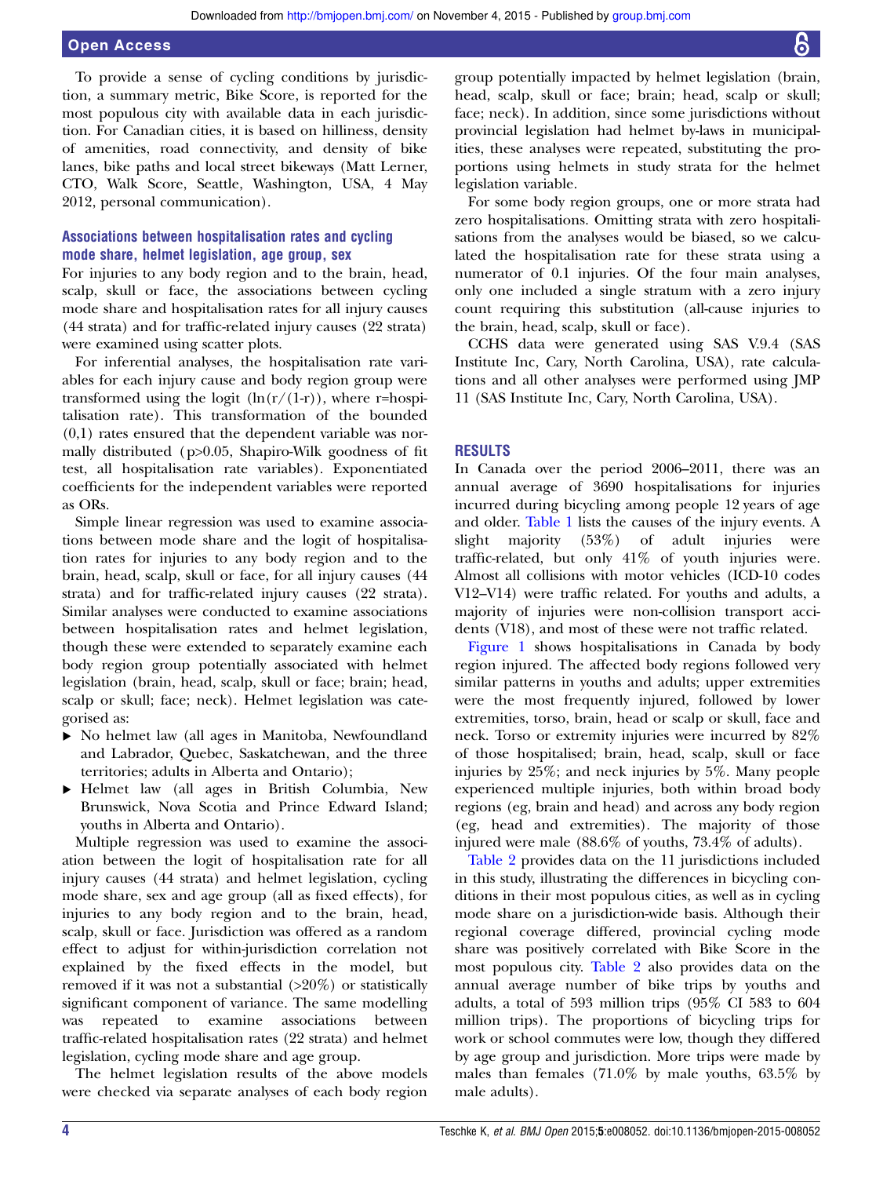# Open Access

To provide a sense of cycling conditions by jurisdiction, a summary metric, Bike Score, is reported for the most populous city with available data in each jurisdiction. For Canadian cities, it is based on hilliness, density of amenities, road connectivity, and density of bike lanes, bike paths and local street bikeways (Matt Lerner, CTO, Walk Score, Seattle, Washington, USA, 4 May 2012, personal communication).

# Associations between hospitalisation rates and cycling mode share, helmet legislation, age group, sex

For injuries to any body region and to the brain, head, scalp, skull or face, the associations between cycling mode share and hospitalisation rates for all injury causes (44 strata) and for traffic-related injury causes (22 strata) were examined using scatter plots.

For inferential analyses, the hospitalisation rate variables for each injury cause and body region group were transformed using the logit  $(\ln(r/(1-r))$ , where r=hospitalisation rate). This transformation of the bounded  $(0,1)$  rates ensured that the dependent variable was normally distributed (p>0.05, Shapiro-Wilk goodness of fit test, all hospitalisation rate variables). Exponentiated coefficients for the independent variables were reported as ORs.

Simple linear regression was used to examine associations between mode share and the logit of hospitalisation rates for injuries to any body region and to the brain, head, scalp, skull or face, for all injury causes (44 strata) and for traffic-related injury causes (22 strata). Similar analyses were conducted to examine associations between hospitalisation rates and helmet legislation, though these were extended to separately examine each body region group potentially associated with helmet legislation (brain, head, scalp, skull or face; brain; head, scalp or skull; face; neck). Helmet legislation was categorised as:

- ▸ No helmet law (all ages in Manitoba, Newfoundland and Labrador, Quebec, Saskatchewan, and the three territories; adults in Alberta and Ontario);
- ▸ Helmet law (all ages in British Columbia, New Brunswick, Nova Scotia and Prince Edward Island; youths in Alberta and Ontario).

Multiple regression was used to examine the association between the logit of hospitalisation rate for all injury causes (44 strata) and helmet legislation, cycling mode share, sex and age group (all as fixed effects), for injuries to any body region and to the brain, head, scalp, skull or face. Jurisdiction was offered as a random effect to adjust for within-jurisdiction correlation not explained by the fixed effects in the model, but removed if it was not a substantial  $(>20\%)$  or statistically significant component of variance. The same modelling was repeated to examine associations between traffic-related hospitalisation rates (22 strata) and helmet legislation, cycling mode share and age group.

The helmet legislation results of the above models were checked via separate analyses of each body region

group potentially impacted by helmet legislation (brain, head, scalp, skull or face; brain; head, scalp or skull; face; neck). In addition, since some jurisdictions without provincial legislation had helmet by-laws in municipalities, these analyses were repeated, substituting the proportions using helmets in study strata for the helmet legislation variable.

For some body region groups, one or more strata had zero hospitalisations. Omitting strata with zero hospitalisations from the analyses would be biased, so we calculated the hospitalisation rate for these strata using a numerator of 0.1 injuries. Of the four main analyses, only one included a single stratum with a zero injury count requiring this substitution (all-cause injuries to the brain, head, scalp, skull or face).

CCHS data were generated using SAS V.9.4 (SAS Institute Inc, Cary, North Carolina, USA), rate calculations and all other analyses were performed using JMP 11 (SAS Institute Inc, Cary, North Carolina, USA).

#### RESULTS

In Canada over the period 2006–2011, there was an annual average of 3690 hospitalisations for injuries incurred during bicycling among people 12 years of age and older. [Table 1](#page-4-0) lists the causes of the injury events. A slight majority (53%) of adult injuries were traffic-related, but only 41% of youth injuries were. Almost all collisions with motor vehicles (ICD-10 codes V12–V14) were traffic related. For youths and adults, a majority of injuries were non-collision transport accidents (V18), and most of these were not traffic related.

[Figure 1](#page-5-0) shows hospitalisations in Canada by body region injured. The affected body regions followed very similar patterns in youths and adults; upper extremities were the most frequently injured, followed by lower extremities, torso, brain, head or scalp or skull, face and neck. Torso or extremity injuries were incurred by 82% of those hospitalised; brain, head, scalp, skull or face injuries by 25%; and neck injuries by 5%. Many people experienced multiple injuries, both within broad body regions (eg, brain and head) and across any body region (eg, head and extremities). The majority of those injured were male (88.6% of youths, 73.4% of adults).

[Table 2](#page-5-0) provides data on the 11 jurisdictions included in this study, illustrating the differences in bicycling conditions in their most populous cities, as well as in cycling mode share on a jurisdiction-wide basis. Although their regional coverage differed, provincial cycling mode share was positively correlated with Bike Score in the most populous city. [Table 2](#page-5-0) also provides data on the annual average number of bike trips by youths and adults, a total of 593 million trips (95% CI 583 to 604 million trips). The proportions of bicycling trips for work or school commutes were low, though they differed by age group and jurisdiction. More trips were made by males than females (71.0% by male youths, 63.5% by male adults).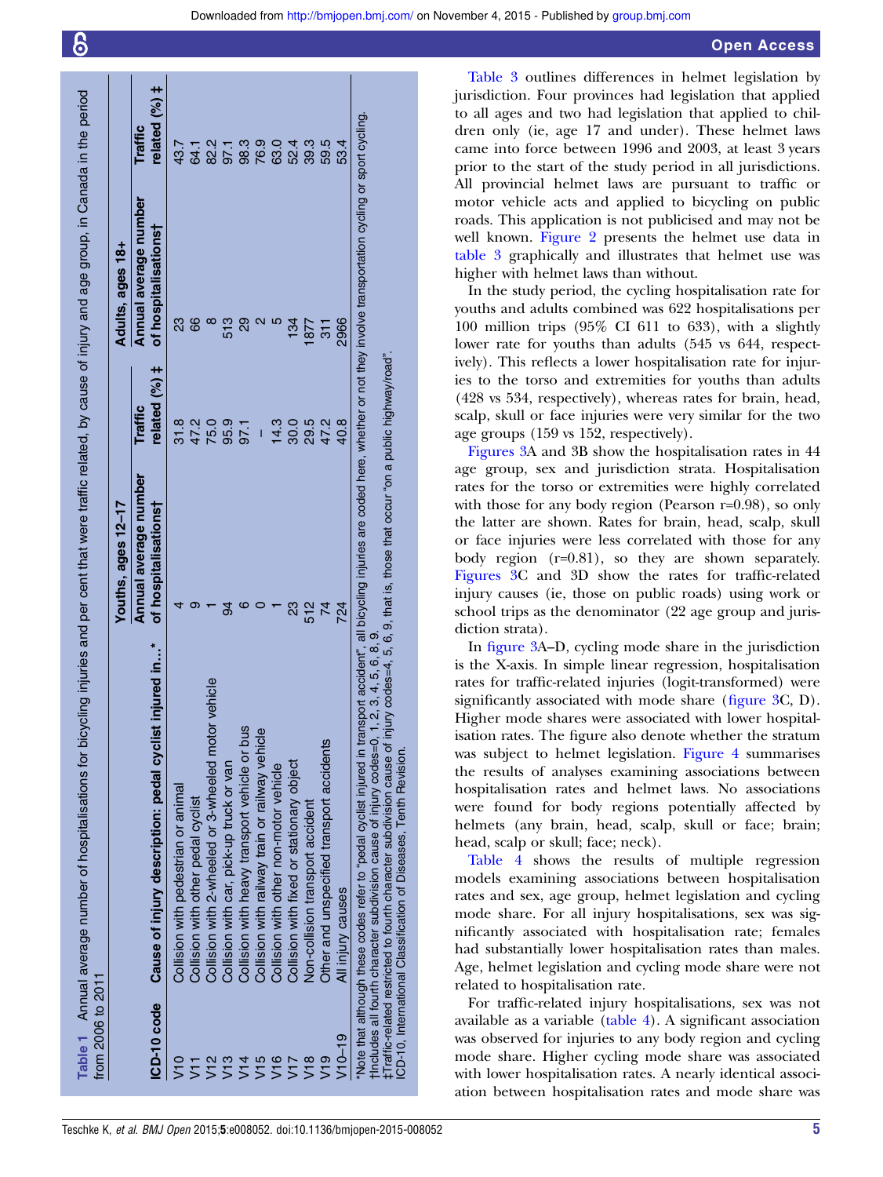<span id="page-4-0"></span>

| America Process and America Process of the Process of America Process of America Process of America Process of | Annual communication of the Parties                                                                                                       |
|----------------------------------------------------------------------------------------------------------------|-------------------------------------------------------------------------------------------------------------------------------------------|
| Adults, ages 18+                                                                                               | Youths, ages 12-17                                                                                                                        |
|                                                                                                                |                                                                                                                                           |
|                                                                                                                | bicycling injuries and per cent that were traffic related, by cause of injury and age group, in Canada in the period<br>Annual average nu |

| from 2006 to 2011 |                                                                                                                                                                                                                                                                                                                                                                                                                                                              | Youths, ages 12–17                            |                                 | Adults, ages 18+                              |                                     |
|-------------------|--------------------------------------------------------------------------------------------------------------------------------------------------------------------------------------------------------------------------------------------------------------------------------------------------------------------------------------------------------------------------------------------------------------------------------------------------------------|-----------------------------------------------|---------------------------------|-----------------------------------------------|-------------------------------------|
| ICD-10 code       | injured in*<br>Cause of injury description: pedal cyclist                                                                                                                                                                                                                                                                                                                                                                                                    | Annual average number<br>of hospitalisations† | related (%) ‡<br><b>Traffic</b> | Annual average number<br>of hospitalisations† | related $(%)$ $\ddagger$<br>Traffic |
|                   | Collision with pedestrian or animal                                                                                                                                                                                                                                                                                                                                                                                                                          |                                               | $\frac{8}{31.8}$                | 23                                            | 43.7                                |
|                   | Collision with other pedal cyclist                                                                                                                                                                                                                                                                                                                                                                                                                           |                                               | 47.2                            |                                               | 64.1                                |
| V12               | vehicle<br>Collision with 2-wheeled or 3-wheeled motor                                                                                                                                                                                                                                                                                                                                                                                                       |                                               | 75.0                            |                                               |                                     |
| V13               | Collision with car, pick-up truck or van                                                                                                                                                                                                                                                                                                                                                                                                                     | ङ                                             | 95.9                            | 513                                           |                                     |
| $\sqrt{14}$       | Collision with heavy transport vehicle or bus                                                                                                                                                                                                                                                                                                                                                                                                                |                                               | $-67.1$                         | ၛ                                             |                                     |
|                   | Collision with railway train or railway vehicle                                                                                                                                                                                                                                                                                                                                                                                                              |                                               | I                               |                                               | 2<br>2 5 8 6<br>2 5 8 7             |
|                   | Collision with other non-motor vehicle                                                                                                                                                                                                                                                                                                                                                                                                                       |                                               | 14.3                            |                                               | 63.0                                |
| e e 125           | Collision with fixed or stationary object                                                                                                                                                                                                                                                                                                                                                                                                                    | ని                                            | 30.0                            | 134                                           | 52.4                                |
|                   | Non-collision transport accident                                                                                                                                                                                                                                                                                                                                                                                                                             | 512                                           | 29.5                            | 1877                                          | 39.3                                |
|                   | Other and unspecified transport accidents                                                                                                                                                                                                                                                                                                                                                                                                                    |                                               | 47.2                            | $\frac{1}{3}$                                 | 59.5                                |
| $V10-19$          | All injury causes                                                                                                                                                                                                                                                                                                                                                                                                                                            | 724<br>724                                    | 40.8                            | 2966                                          | 53.4                                |
|                   | *Note that although these codes refer to "pedal cyclist injured in transport accident", all bicycling injuries are coded here, whether or not they involve transportation cycling or sport cycling.<br>‡Traffic-related restricted to fourth character subdivision cause of injury codes=4, 5, 6, 9, that is, those that occur "on a public highway/road".<br>, 2, 3, 4, 5, 6, 8, 9<br>tincludes all fourth character subdivision cause of injury codes=0, 1 |                                               |                                 |                                               |                                     |
|                   | ICD-10, International Classification of Diseases, Tenth Revision.                                                                                                                                                                                                                                                                                                                                                                                            |                                               |                                 |                                               |                                     |

[Table 3](#page-6-0) outlines differences in helmet legislation by jurisdiction. Four provinces had legislation that applied to all ages and two had legislation that applied to children only (ie, age 17 and under). These helmet laws came into force between 1996 and 2003, at least 3 years prior to the start of the study period in all jurisdictions. All provincial helmet laws are pursuant to traffic or motor vehicle acts and applied to bicycling on public roads. This application is not publicised and may not be well known. [Figure 2](#page-6-0) presents the helmet use data in [table 3](#page-6-0) graphically and illustrates that helmet use was higher with helmet laws than without.

In the study period, the cycling hospitalisation rate for youths and adults combined was 622 hospitalisations per 100 million trips (95% CI 611 to 633), with a slightly lower rate for youths than adults (545 vs 644, respectively). This reflects a lower hospitalisation rate for injuries to the torso and extremities for youths than adults (428 vs 534, respectively), whereas rates for brain, head, scalp, skull or face injuries were very similar for the two age groups (159 vs 152, respectively).

[Figures 3A](#page-7-0) and 3B show the hospitalisation rates in 44 age group, sex and jurisdiction strata. Hospitalisation rates for the torso or extremities were highly correlated with those for any body region (Pearson r=0.98), so only the latter are shown. Rates for brain, head, scalp, skull or face injuries were less correlated with those for any body region (r=0.81), so they are shown separately. [Figures 3](#page-7-0)C and 3D show the rates for traffic-related injury causes (ie, those on public roads) using work or school trips as the denominator (22 age group and jurisdiction strata).

In fi[gure 3A](#page-7-0)–D, cycling mode share in the jurisdiction is the X-axis. In simple linear regression, hospitalisation rates for traffic-related injuries (logit-transformed) were significantly associated with mode share (fi[gure 3](#page-7-0)C, D). Higher mode shares were associated with lower hospitalisation rates. The figure also denote whether the stratum was subject to helmet legislation. [Figure 4](#page-8-0) summarises the results of analyses examining associations between hospitalisation rates and helmet laws. No associations were found for body regions potentially affected by helmets (any brain, head, scalp, skull or face; brain; head, scalp or skull; face; neck).

[Table 4](#page-8-0) shows the results of multiple regression models examining associations between hospitalisation rates and sex, age group, helmet legislation and cycling mode share. For all injury hospitalisations, sex was significantly associated with hospitalisation rate; females had substantially lower hospitalisation rates than males. Age, helmet legislation and cycling mode share were not related to hospitalisation rate.

For traffic-related injury hospitalisations, sex was not available as a variable ([table 4\)](#page-8-0). A significant association was observed for injuries to any body region and cycling mode share. Higher cycling mode share was associated with lower hospitalisation rates. A nearly identical association between hospitalisation rates and mode share was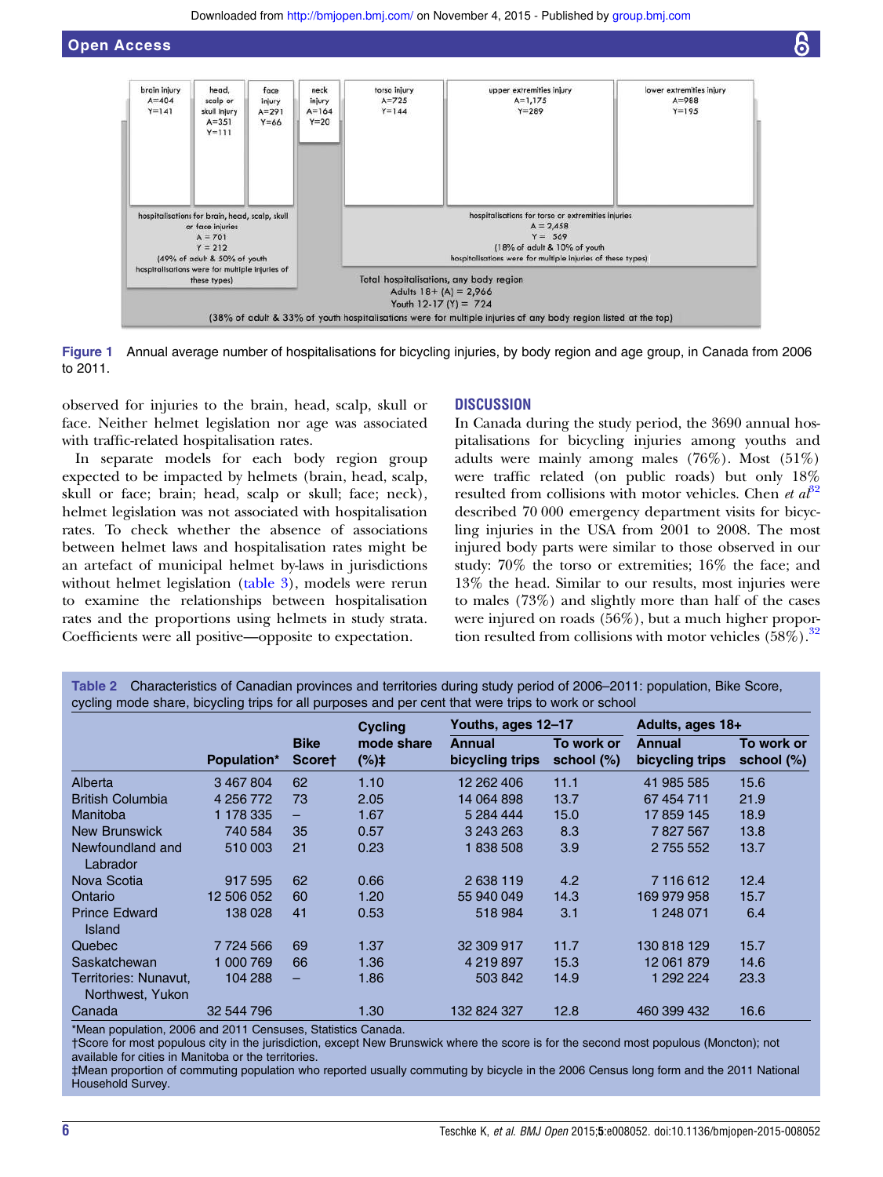<span id="page-5-0"></span>

Figure 1 Annual average number of hospitalisations for bicycling injuries, by body region and age group, in Canada from 2006 to 2011.

observed for injuries to the brain, head, scalp, skull or face. Neither helmet legislation nor age was associated with traffic-related hospitalisation rates.

In separate models for each body region group expected to be impacted by helmets (brain, head, scalp, skull or face; brain; head, scalp or skull; face; neck), helmet legislation was not associated with hospitalisation rates. To check whether the absence of associations between helmet laws and hospitalisation rates might be an artefact of municipal helmet by-laws in jurisdictions without helmet legislation [\(table 3\)](#page-6-0), models were rerun to examine the relationships between hospitalisation rates and the proportions using helmets in study strata. Coefficients were all positive—opposite to expectation.

#### **DISCUSSION**

In Canada during the study period, the 3690 annual hospitalisations for bicycling injuries among youths and adults were mainly among males (76%). Most (51%) were traffic related (on public roads) but only 18% resulted from collisions with motor vehicles. Chen et  $a\ell^2$ described 70 000 emergency department visits for bicycling injuries in the USA from 2001 to 2008. The most injured body parts were similar to those observed in our study: 70% the torso or extremities; 16% the face; and 13% the head. Similar to our results, most injuries were to males (73%) and slightly more than half of the cases were injured on roads (56%), but a much higher proportion resulted from collisions with motor vehicles  $(58\%)$ .<sup>[32](#page-11-0)</sup>

| Table 2 Characteristics of Canadian provinces and territories during study period of 2006–2011: population, Bike Score, |
|-------------------------------------------------------------------------------------------------------------------------|
| cycling mode share, bicycling trips for all purposes and per cent that were trips to work or school                     |

|                                           |             |                       | <b>Cycling</b>      | Youths, ages 12-17        |                             | Adults, ages 18+                 |                             |
|-------------------------------------------|-------------|-----------------------|---------------------|---------------------------|-----------------------------|----------------------------------|-----------------------------|
|                                           | Population* | <b>Bike</b><br>Scoret | mode share<br>$(*)$ | Annual<br>bicycling trips | To work or<br>school $(\%)$ | <b>Annual</b><br>bicycling trips | To work or<br>school $(\%)$ |
| Alberta                                   | 3 467 804   | 62                    | 1.10                | 12 262 406                | 11.1                        | 41 985 585                       | 15.6                        |
| <b>British Columbia</b>                   | 4 256 772   | 73                    | 2.05                | 14 064 898                | 13.7                        | 67 454 711                       | 21.9                        |
| <b>Manitoba</b>                           | 1 178 335   |                       | 1.67                | 5 284 444                 | 15.0                        | 17859145                         | 18.9                        |
| <b>New Brunswick</b>                      | 740 584     | 35                    | 0.57                | 3 243 263                 | 8.3                         | 7827567                          | 13.8                        |
| Newfoundland and<br>Labrador              | 510003      | 21                    | 0.23                | 1838508                   | 3.9                         | 2755552                          | 13.7                        |
| Nova Scotia                               | 917595      | 62                    | 0.66                | 2638119                   | 4.2                         | 7116612                          | 12.4                        |
| Ontario                                   | 12 506 052  | 60                    | 1.20                | 55 940 049                | 14.3                        | 169 979 958                      | 15.7                        |
| <b>Prince Edward</b><br>Island            | 138 028     | 41                    | 0.53                | 518 984                   | 3.1                         | 1 248 071                        | 6.4                         |
| Quebec                                    | 7 724 566   | 69                    | 1.37                | 32 309 917                | 11.7                        | 130 818 129                      | 15.7                        |
| Saskatchewan                              | 1 000 769   | 66                    | 1.36                | 4 219 897                 | 15.3                        | 12 061 879                       | 14.6                        |
| Territories: Nunavut,<br>Northwest, Yukon | 104 288     |                       | 1.86                | 503842                    | 14.9                        | 1 292 224                        | 23.3                        |
| Canada                                    | 32 544 796  |                       | 1.30                | 132 824 327               | 12.8                        | 460 399 432                      | 16.6                        |

\*Mean population, 2006 and 2011 Censuses, Statistics Canada.

†Score for most populous city in the jurisdiction, except New Brunswick where the score is for the second most populous (Moncton); not available for cities in Manitoba or the territories.

‡Mean proportion of commuting population who reported usually commuting by bicycle in the 2006 Census long form and the 2011 National Household Survey.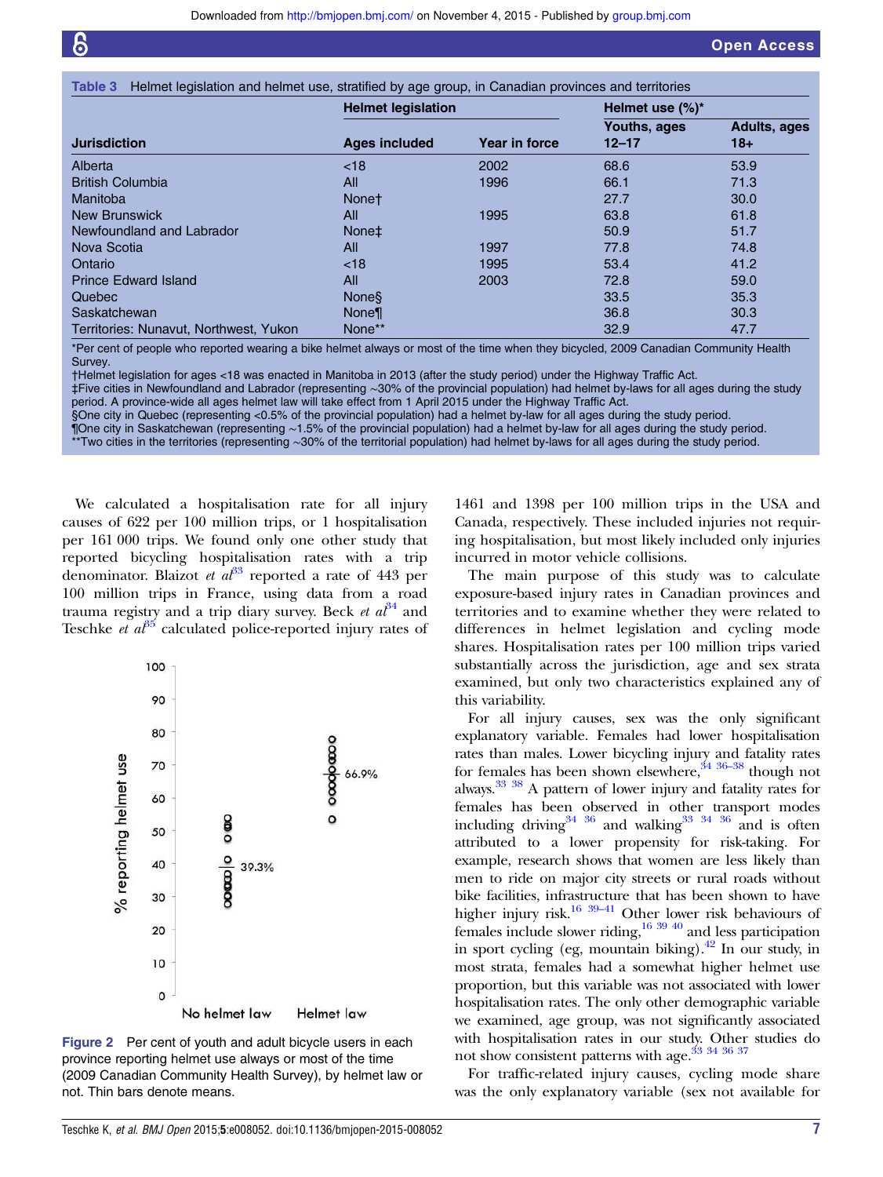<span id="page-6-0"></span>

|                                        | <b>Helmet legislation</b> |               | Helmet use $(\%)^*$       |                            |  |
|----------------------------------------|---------------------------|---------------|---------------------------|----------------------------|--|
| <b>Jurisdiction</b>                    | <b>Ages included</b>      | Year in force | Youths, ages<br>$12 - 17$ | <b>Adults, ages</b><br>18+ |  |
| Alberta                                | < 18                      | 2002          | 68.6                      | 53.9                       |  |
| <b>British Columbia</b>                | All                       | 1996          | 66.1                      | 71.3                       |  |
| Manitoba                               | Nonet                     |               | 27.7                      | 30.0                       |  |
| <b>New Brunswick</b>                   | All                       | 1995          | 63.8                      | 61.8                       |  |
| Newfoundland and Labrador              | None <sup>‡</sup>         |               | 50.9                      | 51.7                       |  |
| Nova Scotia                            | All                       | 1997          | 77.8                      | 74.8                       |  |
| Ontario                                | < 18                      | 1995          | 53.4                      | 41.2                       |  |
| <b>Prince Edward Island</b>            | All                       | 2003          | 72.8                      | 59.0                       |  |
| Quebec                                 | <b>Nones</b>              |               | 33.5                      | 35.3                       |  |
| Saskatchewan                           | <b>None</b>               |               | 36.8                      | 30.3                       |  |
| Territories: Nunavut, Northwest, Yukon | None**                    |               | 32.9                      | 47.7                       |  |

\*Per cent of people who reported wearing a bike helmet always or most of the time when they bicycled, 2009 Canadian Community Health **Survey.** 

†Helmet legislation for ages <18 was enacted in Manitoba in 2013 (after the study period) under the Highway Traffic Act.

‡Five cities in Newfoundland and Labrador (representing ∼30% of the provincial population) had helmet by-laws for all ages during the study period. A province-wide all ages helmet law will take effect from 1 April 2015 under the Highway Traffic Act.

§One city in Quebec (representing <0.5% of the provincial population) had a helmet by-law for all ages during the study period.

¶One city in Saskatchewan (representing ∼1.5% of the provincial population) had a helmet by-law for all ages during the study period. \*\*Two cities in the territories (representing ∼30% of the territorial population) had helmet by-laws for all ages during the study period.

We calculated a hospitalisation rate for all injury causes of 622 per 100 million trips, or 1 hospitalisation per 161 000 trips. We found only one other study that reported bicycling hospitalisation rates with a trip denominator. Blaizot et  $a^{33}$  $a^{33}$  $a^{33}$  reported a rate of 443 per 100 million trips in France, using data from a road trauma registry and a trip diary survey. Beck *et*  $a^{34}$  $a^{34}$  $a^{34}$  and Teschke *et al*<sup>[35](#page-11-0)</sup> calculated police-reported injury rates of



Figure 2 Per cent of youth and adult bicycle users in each province reporting helmet use always or most of the time (2009 Canadian Community Health Survey), by helmet law or not. Thin bars denote means.

1461 and 1398 per 100 million trips in the USA and Canada, respectively. These included injuries not requiring hospitalisation, but most likely included only injuries incurred in motor vehicle collisions.

The main purpose of this study was to calculate exposure-based injury rates in Canadian provinces and territories and to examine whether they were related to differences in helmet legislation and cycling mode shares. Hospitalisation rates per 100 million trips varied substantially across the jurisdiction, age and sex strata examined, but only two characteristics explained any of this variability.

For all injury causes, sex was the only significant explanatory variable. Females had lower hospitalisation rates than males. Lower bicycling injury and fatality rates for females has been shown elsewhere,  $34\frac{36-38}{10}$  though not always.[33 38](#page-11-0) A pattern of lower injury and fatality rates for females has been observed in other transport modes including driving  $34^{36}$  and walking  $33^{34}$   $36^{36}$  and is often attributed to a lower propensity for risk-taking. For example, research shows that women are less likely than men to ride on major city streets or rural roads without bike facilities, infrastructure that has been shown to have higher injury risk.<sup>[16](#page-10-0) 39–[41](#page-11-0)</sup> Other lower risk behaviours of females include slower riding, $\frac{16\frac{39}{40}}{100}$  $\frac{16\frac{39}{40}}{100}$  $\frac{16\frac{39}{40}}{100}$  and less participation in sport cycling (eg, mountain biking). $^{42}$  $^{42}$  $^{42}$  In our study, in most strata, females had a somewhat higher helmet use proportion, but this variable was not associated with lower hospitalisation rates. The only other demographic variable we examined, age group, was not significantly associated with hospitalisation rates in our study. Other studies do not show consistent patterns with age.<sup>33</sup> <sup>34</sup> <sup>36</sup> <sup>37</sup>

For traffic-related injury causes, cycling mode share was the only explanatory variable (sex not available for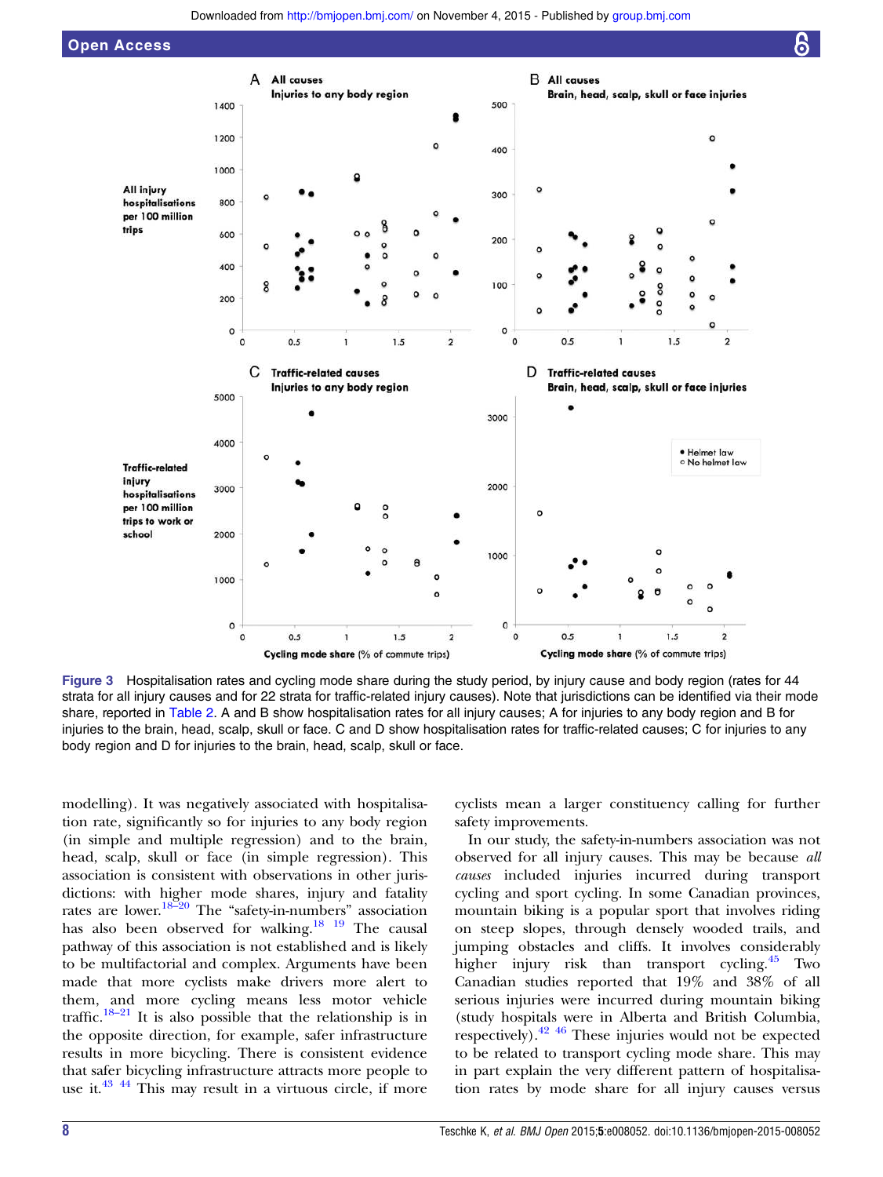<span id="page-7-0"></span>

Figure 3 Hospitalisation rates and cycling mode share during the study period, by injury cause and body region (rates for 44 strata for all injury causes and for 22 strata for traffic-related injury causes). Note that jurisdictions can be identified via their mode share, reported in [Table 2](#page-5-0). A and B show hospitalisation rates for all injury causes; A for injuries to any body region and B for injuries to the brain, head, scalp, skull or face. C and D show hospitalisation rates for traffic-related causes; C for injuries to any body region and D for injuries to the brain, head, scalp, skull or face.

modelling). It was negatively associated with hospitalisation rate, significantly so for injuries to any body region (in simple and multiple regression) and to the brain, head, scalp, skull or face (in simple regression). This association is consistent with observations in other jurisdictions: with higher mode shares, injury and fatality rates are lower.18–[20](#page-10-0) The "safety-in-numbers" association has also been observed for walking.<sup>18</sup> <sup>19</sup> The causal pathway of this association is not established and is likely to be multifactorial and complex. Arguments have been made that more cyclists make drivers more alert to them, and more cycling means less motor vehicle traffic.<sup> $18-21$  $18-21$ </sup> It is also possible that the relationship is in the opposite direction, for example, safer infrastructure results in more bicycling. There is consistent evidence that safer bicycling infrastructure attracts more people to use it.<sup>[43 44](#page-11-0)</sup> This may result in a virtuous circle, if more

cyclists mean a larger constituency calling for further safety improvements.

In our study, the safety-in-numbers association was not observed for all injury causes. This may be because all causes included injuries incurred during transport cycling and sport cycling. In some Canadian provinces, mountain biking is a popular sport that involves riding on steep slopes, through densely wooded trails, and jumping obstacles and cliffs. It involves considerably higher injury risk than transport cycling. $45$  Two Canadian studies reported that 19% and 38% of all serious injuries were incurred during mountain biking (study hospitals were in Alberta and British Columbia, respectively).[42 46](#page-11-0) These injuries would not be expected to be related to transport cycling mode share. This may in part explain the very different pattern of hospitalisation rates by mode share for all injury causes versus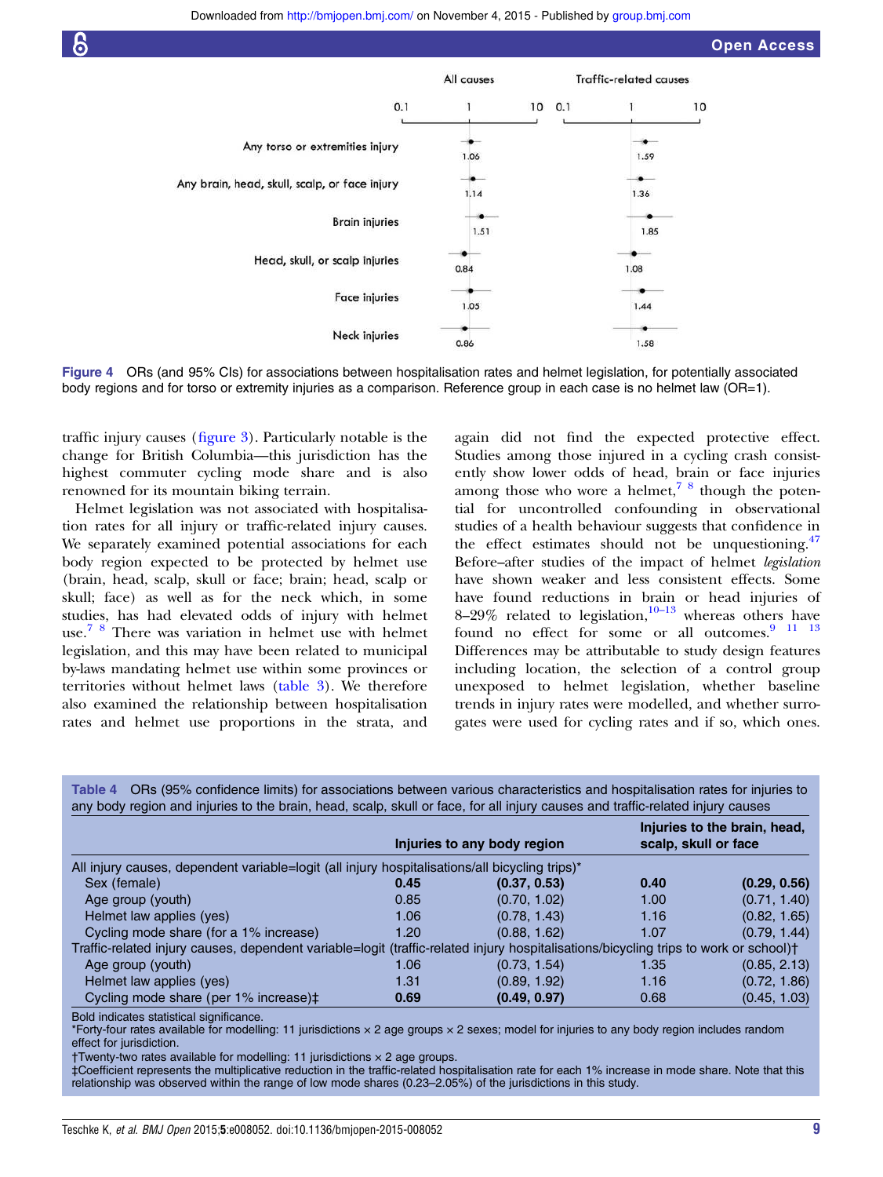<span id="page-8-0"></span>



traffic injury causes (fi[gure 3\)](#page-7-0). Particularly notable is the change for British Columbia—this jurisdiction has the highest commuter cycling mode share and is also renowned for its mountain biking terrain.

Helmet legislation was not associated with hospitalisation rates for all injury or traffic-related injury causes. We separately examined potential associations for each body region expected to be protected by helmet use (brain, head, scalp, skull or face; brain; head, scalp or skull; face) as well as for the neck which, in some studies, has had elevated odds of injury with helmet use.<sup>7</sup> <sup>8</sup> There was variation in helmet use with helmet legislation, and this may have been related to municipal by-laws mandating helmet use within some provinces or territories without helmet laws ([table 3\)](#page-6-0). We therefore also examined the relationship between hospitalisation rates and helmet use proportions in the strata, and again did not find the expected protective effect. Studies among those injured in a cycling crash consistently show lower odds of head, brain or face injuries among those who wore a helmet, $7<sup>8</sup>$  though the potential for uncontrolled confounding in observational studies of a health behaviour suggests that confidence in the effect estimates should not be unquestioning. $47$ Before–after studies of the impact of helmet legislation have shown weaker and less consistent effects. Some have found reductions in [brain](#page-10-0) or head injuries of 8–29% related to legislation,  $10-13$  whereas others have found no effect for some or all outcomes. $\frac{9}{11}$  13 Differences may be attributable to study design features including location, the selection of a control group unexposed to helmet legislation, whether baseline trends in injury rates were modelled, and whether surrogates were used for cycling rates and if so, which ones.

Table 4 ORs (95% confidence limits) for associations between various characteristics and hospitalisation rates for injuries to any body region and injuries to the brain, head, scalp, skull or face, for all injury causes and traffic-related injury causes

|                                                                                                                                      | Injuries to any body region |              | scalp, skull or face | Injuries to the brain, head, |  |  |  |
|--------------------------------------------------------------------------------------------------------------------------------------|-----------------------------|--------------|----------------------|------------------------------|--|--|--|
| All injury causes, dependent variable=logit (all injury hospitalisations/all bicycling trips)*                                       |                             |              |                      |                              |  |  |  |
| Sex (female)                                                                                                                         | 0.45                        | (0.37, 0.53) | 0.40                 | (0.29, 0.56)                 |  |  |  |
| Age group (youth)                                                                                                                    | 0.85                        | (0.70, 1.02) | 1.00                 | (0.71, 1.40)                 |  |  |  |
| Helmet law applies (yes)                                                                                                             | 1.06                        | (0.78, 1.43) | 1.16                 | (0.82, 1.65)                 |  |  |  |
| Cycling mode share (for a 1% increase)                                                                                               | 1.20                        | (0.88, 1.62) | 1.07                 | (0.79, 1.44)                 |  |  |  |
| Traffic-related injury causes, dependent variable=logit (traffic-related injury hospitalisations/bicycling trips to work or school)+ |                             |              |                      |                              |  |  |  |
| Age group (youth)                                                                                                                    | 1.06                        | (0.73, 1.54) | 1.35                 | (0.85, 2.13)                 |  |  |  |
| Helmet law applies (yes)                                                                                                             | 1.31                        | (0.89, 1.92) | 1.16                 | (0.72, 1.86)                 |  |  |  |
| Cycling mode share (per 1% increase) $\ddagger$                                                                                      | 0.69                        | (0.49, 0.97) | 0.68                 | (0.45, 1.03)                 |  |  |  |

Bold indicates statistical significance.

\*Forty-four rates available for modelling: 11 jurisdictions  $\times$  2 age groups  $\times$  2 sexes; model for injuries to any body region includes random effect for jurisdiction.

 $\dagger$ Twenty-two rates available for modelling: 11 jurisdictions  $\times$  2 age groups.

‡Coefficient represents the multiplicative reduction in the traffic-related hospitalisation rate for each 1% increase in mode share. Note that this relationship was observed within the range of low mode shares (0.23–2.05%) of the jurisdictions in this study.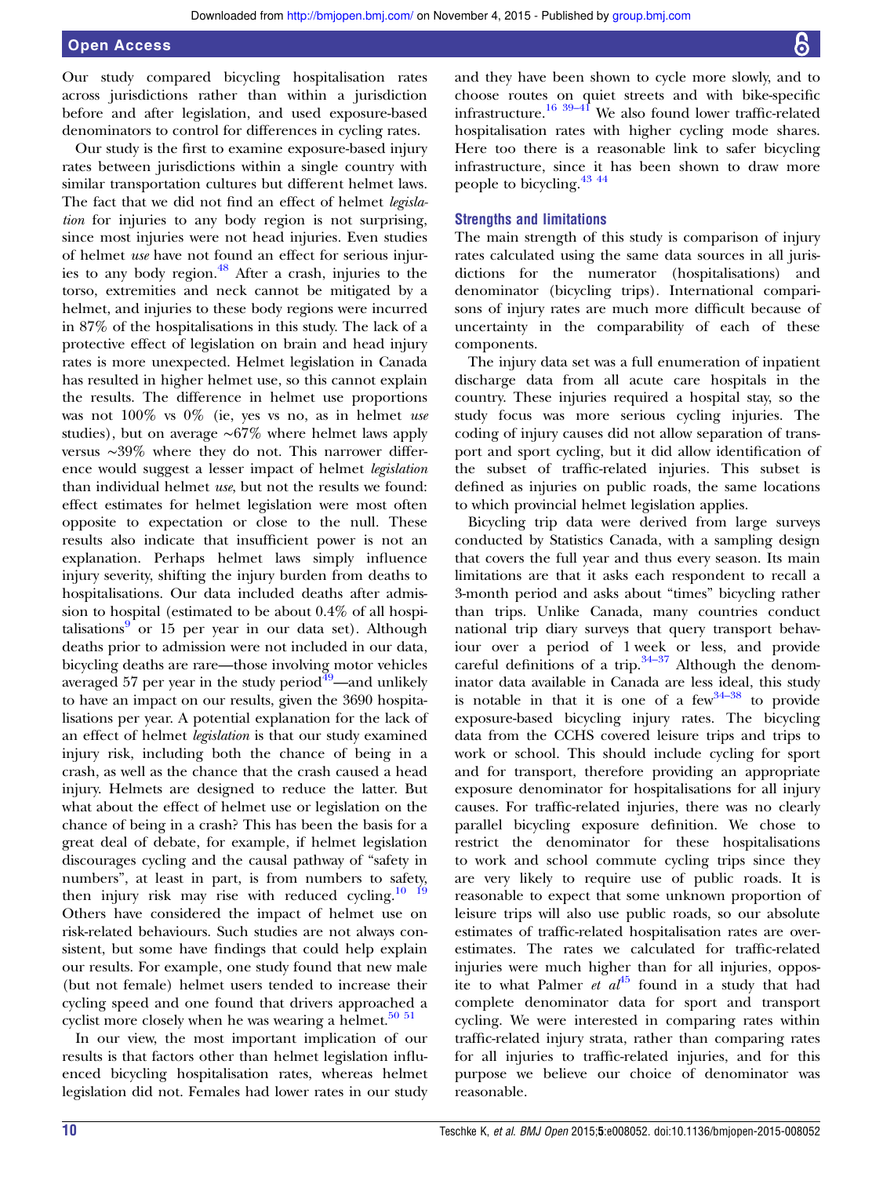Our study compared bicycling hospitalisation rates across jurisdictions rather than within a jurisdiction before and after legislation, and used exposure-based denominators to control for differences in cycling rates.

Our study is the first to examine exposure-based injury rates between jurisdictions within a single country with similar transportation cultures but different helmet laws. The fact that we did not find an effect of helmet legislation for injuries to any body region is not surprising, since most injuries were not head injuries. Even studies of helmet use have not found an effect for serious injur-ies to any body region.<sup>[48](#page-11-0)</sup> After a crash, injuries to the torso, extremities and neck cannot be mitigated by a helmet, and injuries to these body regions were incurred in 87% of the hospitalisations in this study. The lack of a protective effect of legislation on brain and head injury rates is more unexpected. Helmet legislation in Canada has resulted in higher helmet use, so this cannot explain the results. The difference in helmet use proportions was not 100% vs 0% (ie, yes vs no, as in helmet use studies), but on average ∼67% where helmet laws apply versus ∼39% where they do not. This narrower difference would suggest a lesser impact of helmet legislation than individual helmet use, but not the results we found: effect estimates for helmet legislation were most often opposite to expectation or close to the null. These results also indicate that insufficient power is not an explanation. Perhaps helmet laws simply influence injury severity, shifting the injury burden from deaths to hospitalisations. Our data included deaths after admission to hospital (estimated to be about 0.4% of all hospi-talisations<sup>[9](#page-10-0)</sup> or 15 per year in our data set). Although deaths prior to admission were not included in our data, bicycling deaths are rare—those involving motor vehicles averaged 57 per year in the study period $49$ —and unlikely to have an impact on our results, given the 3690 hospitalisations per year. A potential explanation for the lack of an effect of helmet legislation is that our study examined injury risk, including both the chance of being in a crash, as well as the chance that the crash caused a head injury. Helmets are designed to reduce the latter. But what about the effect of helmet use or legislation on the chance of being in a crash? This has been the basis for a great deal of debate, for example, if helmet legislation discourages cycling and the causal pathway of "safety in numbers", at least in part, is from numbers to safety, then injury risk may rise with reduced cycling. $10^{-19}$ Others have considered the impact of helmet use on risk-related behaviours. Such studies are not always consistent, but some have findings that could help explain our results. For example, one study found that new male (but not female) helmet users tended to increase their cycling speed and one found that drivers approached a cyclist more closely when he was wearing a helmet. $50\,51$ 

In our view, the most important implication of our results is that factors other than helmet legislation influenced bicycling hospitalisation rates, whereas helmet legislation did not. Females had lower rates in our study

and they have been shown to cycle more slowly, and to choose routes on quiet streets and with bike-specific infrastructure.<sup>[16](#page-10-0) [39](#page-11-0)–41</sup> We also found lower traffic-related hospitalisation rates with higher cycling mode shares. Here too there is a reasonable link to safer bicycling infrastructure, since it has been shown to draw more people to bicycling.<sup>[43 44](#page-11-0)</sup>

#### Strengths and limitations

The main strength of this study is comparison of injury rates calculated using the same data sources in all jurisdictions for the numerator (hospitalisations) and denominator (bicycling trips). International comparisons of injury rates are much more difficult because of uncertainty in the comparability of each of these components.

The injury data set was a full enumeration of inpatient discharge data from all acute care hospitals in the country. These injuries required a hospital stay, so the study focus was more serious cycling injuries. The coding of injury causes did not allow separation of transport and sport cycling, but it did allow identification of the subset of traffic-related injuries. This subset is defined as injuries on public roads, the same locations to which provincial helmet legislation applies.

Bicycling trip data were derived from large surveys conducted by Statistics Canada, with a sampling design that covers the full year and thus every season. Its main limitations are that it asks each respondent to recall a 3-month period and asks about "times" bicycling rather than trips. Unlike Canada, many countries conduct national trip diary surveys that query transport behaviour over a period of 1 week or less, and provide careful definitions of a trip. $34-37$  $34-37$  Although the denominator data available in Canada are less ideal, this study is notable in that it is one of a  $few<sup>34-38</sup>$  $few<sup>34-38</sup>$  $few<sup>34-38</sup>$  to provide exposure-based bicycling injury rates. The bicycling data from the CCHS covered leisure trips and trips to work or school. This should include cycling for sport and for transport, therefore providing an appropriate exposure denominator for hospitalisations for all injury causes. For traffic-related injuries, there was no clearly parallel bicycling exposure definition. We chose to restrict the denominator for these hospitalisations to work and school commute cycling trips since they are very likely to require use of public roads. It is reasonable to expect that some unknown proportion of leisure trips will also use public roads, so our absolute estimates of traffic-related hospitalisation rates are overestimates. The rates we calculated for traffic-related injuries were much higher than for all injuries, opposite to what Palmer et  $a^{45}$  $a^{45}$  $a^{45}$  found in a study that had complete denominator data for sport and transport cycling. We were interested in comparing rates within traffic-related injury strata, rather than comparing rates for all injuries to traffic-related injuries, and for this purpose we believe our choice of denominator was reasonable.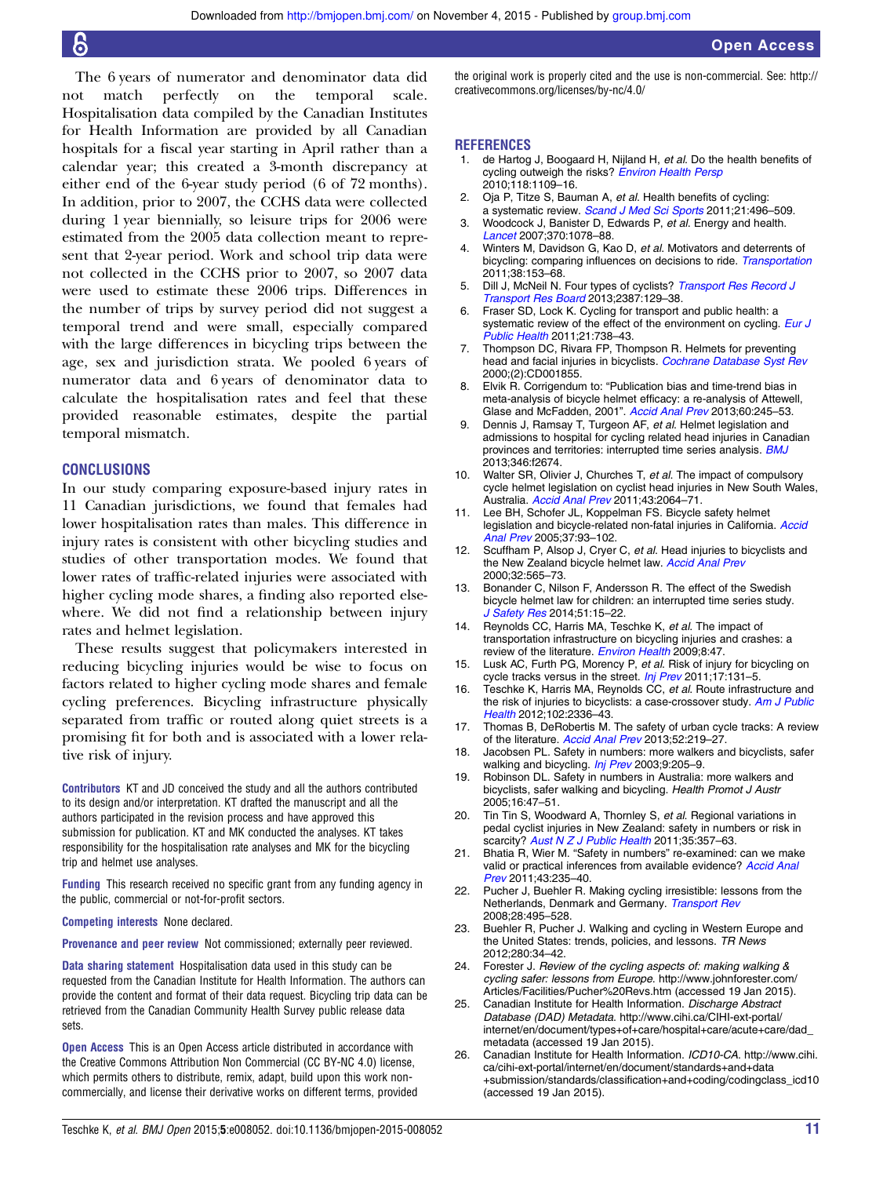<span id="page-10-0"></span>The 6 years of numerator and denominator data did not match perfectly on the temporal scale. Hospitalisation data compiled by the Canadian Institutes for Health Information are provided by all Canadian hospitals for a fiscal year starting in April rather than a calendar year; this created a 3-month discrepancy at either end of the 6-year study period (6 of 72 months). In addition, prior to 2007, the CCHS data were collected during 1 year biennially, so leisure trips for 2006 were estimated from the 2005 data collection meant to represent that 2-year period. Work and school trip data were not collected in the CCHS prior to 2007, so 2007 data were used to estimate these 2006 trips. Differences in the number of trips by survey period did not suggest a temporal trend and were small, especially compared with the large differences in bicycling trips between the age, sex and jurisdiction strata. We pooled 6 years of numerator data and 6 years of denominator data to calculate the hospitalisation rates and feel that these provided reasonable estimates, despite the partial temporal mismatch.

### CONCLUSIONS

In our study comparing exposure-based injury rates in 11 Canadian jurisdictions, we found that females had lower hospitalisation rates than males. This difference in injury rates is consistent with other bicycling studies and studies of other transportation modes. We found that lower rates of traffic-related injuries were associated with higher cycling mode shares, a finding also reported elsewhere. We did not find a relationship between injury rates and helmet legislation.

These results suggest that policymakers interested in reducing bicycling injuries would be wise to focus on factors related to higher cycling mode shares and female cycling preferences. Bicycling infrastructure physically separated from traffic or routed along quiet streets is a promising fit for both and is associated with a lower relative risk of injury.

Contributors KT and JD conceived the study and all the authors contributed to its design and/or interpretation. KT drafted the manuscript and all the authors participated in the revision process and have approved this submission for publication. KT and MK conducted the analyses. KT takes responsibility for the hospitalisation rate analyses and MK for the bicycling trip and helmet use analyses.

Funding This research received no specific grant from any funding agency in the public, commercial or not-for-profit sectors.

Competing interests None declared.

Provenance and peer review Not commissioned; externally peer reviewed.

Data sharing statement Hospitalisation data used in this study can be requested from the Canadian Institute for Health Information. The authors can provide the content and format of their data request. Bicycling trip data can be retrieved from the Canadian Community Health Survey public release data sets.

Open Access This is an Open Access article distributed in accordance with the Creative Commons Attribution Non Commercial (CC BY-NC 4.0) license, which permits others to distribute, remix, adapt, build upon this work noncommercially, and license their derivative works on different terms, provided

#### **REFERENCES**

- 1. de Hartog J, Boogaard H, Nijland H, *et al*. Do the health benefits of cycling outweigh the risks? *[Environ Health Persp](http://dx.doi.org/10.1289/ehp.0901747)* 2010;118:1109–16.
- 2. Oja P, Titze S, Bauman A, *et al*. Health benefits of cycling: a systematic review. *[Scand J Med Sci Sports](http://dx.doi.org/10.1111/j.1600-0838.2011.01299.x)* 2011;21:496–509.
- 3. Woodcock J, Banister D, Edwards P, *et al*. Energy and health. *[Lancet](http://dx.doi.org/10.1016/S0140-6736(07)61254-9)* 2007;370:1078–88.
- 4. Winters M, Davidson G, Kao D, *et al*. Motivators and deterrents of bicycling: comparing influences on decisions to ride. *[Transportation](http://dx.doi.org/10.1007/s11116-010-9284-y)* 2011;38:153–68.
- 5. Dill J, McNeil N. Four types of cyclists? *[Transport Res Record J](http://dx.doi.org/10.3141/2387-15) [Transport Res Board](http://dx.doi.org/10.3141/2387-15)* 2013;2387:129–38.
- 6. Fraser SD, Lock K. Cycling for transport and public health: a systematic review of the effect of the environment on cycling. *[Eur J](http://dx.doi.org/10.1093/eurpub/ckq145) [Public Health](http://dx.doi.org/10.1093/eurpub/ckq145)* 2011;21:738–43.
- 7. Thompson DC, Rivara FP, Thompson R. Helmets for preventing head and facial injuries in bicyclists. *[Cochrane Database Syst Rev](http://dx.doi.org/10.1002/14651858.CD001855)* 2000;(2):CD001855.
- 8. Elvik R. Corrigendum to: "Publication bias and time-trend bias in meta-analysis of bicycle helmet efficacy: a re-analysis of Attewell, Glase and McFadden, 2001". *[Accid Anal Prev](http://dx.doi.org/10.1016/j.aap.2012.12.003)* 2013;60:245–53.
- 9. Dennis J, Ramsay T, Turgeon AF, *et al*. Helmet legislation and admissions to hospital for cycling related head injuries in Canadian provinces and territories: interrupted time series analysis. *[BMJ](http://dx.doi.org/10.1136/bmj.f2674)* 2013;346:f2674.
- 10. Walter SR, Olivier J, Churches T, *et al*. The impact of compulsory cycle helmet legislation on cyclist head injuries in New South Wales, Australia. *[Accid Anal Prev](http://dx.doi.org/10.1016/j.aap.2011.05.029)* 2011;43:2064–71.
- 11. Lee BH, Schofer JL, Koppelman FS. Bicycle safety helmet legislation and bicycle-related non-fatal injuries in California. *[Accid](http://dx.doi.org/10.1016/j.aap.2004.07.001) [Anal Prev](http://dx.doi.org/10.1016/j.aap.2004.07.001)* 2005;37:93–102.
- 12. Scuffham P, Alsop J, Cryer C, *et al*. Head injuries to bicyclists and the New Zealand bicycle helmet law. *[Accid Anal Prev](http://dx.doi.org/10.1016/S0001-4575(99)00081-0)* 2000;32:565–73.
- 13. Bonander C, Nilson F, Andersson R. The effect of the Swedish bicycle helmet law for children: an interrupted time series study. *[J Safety Res](http://dx.doi.org/10.1016/j.jsr.2014.07.001)* 2014;51:15–22.
- 14. Reynolds CC, Harris MA, Teschke K, *et al*. The impact of transportation infrastructure on bicycling injuries and crashes: a review of the literature. *[Environ Health](http://dx.doi.org/10.1186/1476-069X-8-47)* 2009;8:47.
- 15. Lusk AC, Furth PG, Morency P, *et al*. Risk of injury for bicycling on cycle tracks versus in the street. *[Inj Prev](http://dx.doi.org/10.1136/ip.2010.028696)* 2011;17:131–5.
- 16. Teschke K, Harris MA, Reynolds CC, *et al*. Route infrastructure and the risk of injuries to bicyclists: a case-crossover study. *[Am J Public](http://dx.doi.org/10.2105/AJPH.2012.300762) [Health](http://dx.doi.org/10.2105/AJPH.2012.300762)* 2012;102:2336–43.
- 17. Thomas B, DeRobertis M. The safety of urban cycle tracks: A review of the literature. *[Accid Anal Prev](http://dx.doi.org/10.1016/j.aap.2012.12.017)* 2013;52:219–27.
- 18. Jacobsen PL. Safety in numbers: more walkers and bicyclists, safer walking and bicycling. *[Inj Prev](http://dx.doi.org/10.1136/ip.9.3.205)* 2003;9:205–9.
- 19. Robinson DL. Safety in numbers in Australia: more walkers and bicyclists, safer walking and bicycling. *Health Promot J Austr* 2005;16:47–51.
- 20. Tin Tin S, Woodward A, Thornley S, *et al*. Regional variations in pedal cyclist injuries in New Zealand: safety in numbers or risk in scarcity? *[Aust N Z J Public Health](http://dx.doi.org/10.1111/j.1753-6405.2011.00731.x)* 2011;35:357–63.
- 21. Bhatia R, Wier M. "Safety in numbers" re-examined: can we make valid or practical inferences from available evidence? *[Accid Anal](http://dx.doi.org/10.1016/j.aap.2010.08.015) [Prev](http://dx.doi.org/10.1016/j.aap.2010.08.015)* 2011;43:235–40.
- Pucher J, Buehler R. Making cycling irresistible: lessons from the Netherlands, Denmark and Germany. *[Transport Rev](http://dx.doi.org/10.1080/01441640701806612)* 2008;28:495–528.
- 23. Buehler R, Pucher J. Walking and cycling in Western Europe and the United States: trends, policies, and lessons. *TR News* 2012;280:34–42.
- 24. Forester J. *Review of the cycling aspects of: making walking & cycling safer: lessons from Europe*. [http://www.johnforester.com/](http://www.johnforester.com/Articles/Facilities/Pucher%20Revs.htm) [Articles/Facilities/Pucher%20Revs.htm](http://www.johnforester.com/Articles/Facilities/Pucher%20Revs.htm) (accessed 19 Jan 2015).
- 25. Canadian Institute for Health Information. *Discharge Abstract Database (DAD) Metadata*. [http://www.cihi.ca/CIHI-ext-portal/](http://www.cihi.ca/CIHI-ext-portal/internet/en/document/types+of+care/hospital+care/acute+care/dad_metadata) [internet/en/document/types+of+care/hospital+care/acute+care/dad\\_](http://www.cihi.ca/CIHI-ext-portal/internet/en/document/types+of+care/hospital+care/acute+care/dad_metadata) [metadata](http://www.cihi.ca/CIHI-ext-portal/internet/en/document/types+of+care/hospital+care/acute+care/dad_metadata) (accessed 19 Jan 2015).
- 26. Canadian Institute for Health Information. *ICD10-CA*. [http://www.cihi.](http://www.cihi.ca/cihi-ext-portal/internet/en/document/standards+and+data+submission/standards/classification+and+coding/codingclass_icd10) [ca/cihi-ext-portal/internet/en/document/standards+and+data](http://www.cihi.ca/cihi-ext-portal/internet/en/document/standards+and+data+submission/standards/classification+and+coding/codingclass_icd10) [+submission/standards/classification+and+coding/codingclass\\_icd10](http://www.cihi.ca/cihi-ext-portal/internet/en/document/standards+and+data+submission/standards/classification+and+coding/codingclass_icd10) (accessed 19 Jan 2015).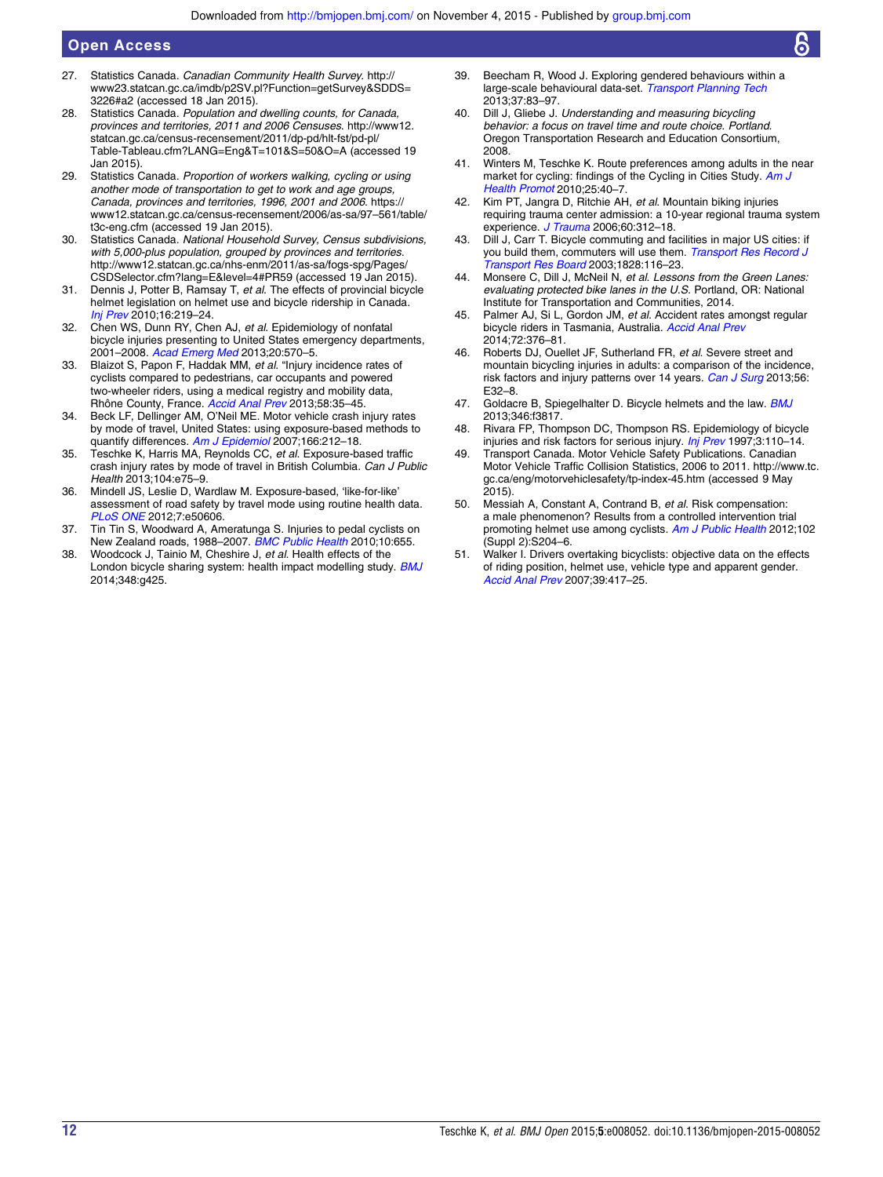- <span id="page-11-0"></span>27. Statistics Canada. *Canadian Community Health Survey*. [http://](http://www23.statcan.gc.ca/imdb/p2SV.pl?Function=getSurvey&SDDS=3226#a2) [www23.statcan.gc.ca/imdb/p2SV.pl?Function=getSurvey&SDDS=](http://www23.statcan.gc.ca/imdb/p2SV.pl?Function=getSurvey&SDDS=3226#a2) [3226#a2](http://www23.statcan.gc.ca/imdb/p2SV.pl?Function=getSurvey&SDDS=3226#a2) (accessed 18 Jan 2015).
- 28. Statistics Canada. *Population and dwelling counts, for Canada, provinces and territories, 2011 and 2006 Censuses*. [http://www12.](http://www12.statcan.gc.ca/census-recensement/2011/dp-pd/hlt-fst/pd-pl/Table-Tableau.cfm?LANG=Eng&T=101&S=50&O=A) [statcan.gc.ca/census-recensement/2011/dp-pd/hlt-fst/pd-pl/](http://www12.statcan.gc.ca/census-recensement/2011/dp-pd/hlt-fst/pd-pl/Table-Tableau.cfm?LANG=Eng&T=101&S=50&O=A) [Table-Tableau.cfm?LANG=Eng&T=101&S=50&O=A](http://www12.statcan.gc.ca/census-recensement/2011/dp-pd/hlt-fst/pd-pl/Table-Tableau.cfm?LANG=Eng&T=101&S=50&O=A) (accessed 19 Jan 2015).
- 29. Statistics Canada. *Proportion of workers walking, cycling or using another mode of transportation to get to work and age groups, Canada, provinces and territories, 1996, 2001 and 2006*. [https://](https://www12.statcan.gc.ca/census-recensement/2006/as-sa/97–561/table/t3c-eng.cfm) [www12.statcan.gc.ca/census-recensement/2006/as-sa/97](https://www12.statcan.gc.ca/census-recensement/2006/as-sa/97–561/table/t3c-eng.cfm)–561/table/ [t3c-eng.cfm](https://www12.statcan.gc.ca/census-recensement/2006/as-sa/97–561/table/t3c-eng.cfm) (accessed 19 Jan 2015).
- 30. Statistics Canada. *National Household Survey, Census subdivisions, with 5,000-plus population, grouped by provinces and territories*. [http://www12.statcan.gc.ca/nhs-enm/2011/as-sa/fogs-spg/Pages/](http://www12.statcan.gc.ca/nhs-enm/2011/as-sa/fogs-spg/Pages/CSDSelector.cfm?lang=E&level=4#PR59) [CSDSelector.cfm?lang=E&level=4#PR59](http://www12.statcan.gc.ca/nhs-enm/2011/as-sa/fogs-spg/Pages/CSDSelector.cfm?lang=E&level=4#PR59) (accessed 19 Jan 2015).
- 31. Dennis J, Potter B, Ramsay T, *et al*. The effects of provincial bicycle helmet legislation on helmet use and bicycle ridership in Canada. *[Inj Prev](http://dx.doi.org/10.1136/ip.2009.025353)* 2010;16:219–24.
- 32. Chen WS, Dunn RY, Chen AJ, *et al*. Epidemiology of nonfatal bicycle injuries presenting to United States emergency departments, 2001–2008. *[Acad Emerg Med](http://dx.doi.org/10.1111/acem.12146)* 2013;20:570–5.
- 33. Blaizot S, Papon F, Haddak MM, *et al*. "Injury incidence rates of cyclists compared to pedestrians, car occupants and powered two-wheeler riders, using a medical registry and mobility data, Rhône County, France. *[Accid Anal Prev](http://dx.doi.org/10.1016/j.aap.2013.04.018)* 2013;58:35–45.
- 34. Beck LF, Dellinger AM, O'Neil ME. Motor vehicle crash injury rates by mode of travel, United States: using exposure-based methods to quantify differences. *[Am J Epidemiol](http://dx.doi.org/10.1093/aje/kwm064)* 2007;166:212–18.
- 35. Teschke K, Harris MA, Reynolds CC, *et al*. Exposure-based traffic crash injury rates by mode of travel in British Columbia. *Can J Public Health* 2013;104:e75–9.
- 36. Mindell JS, Leslie D, Wardlaw M. Exposure-based, 'like-for-like' assessment of road safety by travel mode using routine health data. *[PLoS ONE](http://dx.doi.org/10.1371/journal.pone.0050606)* 2012;7:e50606.
- 37. Tin Tin S, Woodward A, Ameratunga S. Injuries to pedal cyclists on New Zealand roads, 1988–2007. *[BMC Public Health](http://dx.doi.org/10.1186/1471-2458-10-655)* 2010;10:655.
- 38. Woodcock J, Tainio M, Cheshire J, *et al*. Health effects of the London bicycle sharing system: health impact modelling study. *[BMJ](http://dx.doi.org/10.1136/bmj.g425)* 2014;348:g425.
- 39. Beecham R, Wood J. Exploring gendered behaviours within a large-scale behavioural data-set. *[Transport Planning Tech](http://dx.doi.org/10.1080/03081060.2013.844903)* 2013;37:83–97.
- 40. Dill J, Gliebe J. *Understanding and measuring bicycling behavior: a focus on travel time and route choice. Portland*. Oregon Transportation Research and Education Consortium, 2008.
- 41. Winters M, Teschke K. Route preferences among adults in the near market for cycling: findings of the Cycling in Cities Study. *[Am J](http://dx.doi.org/10.4278/ajhp.081006-QUAN-236) [Health Promot](http://dx.doi.org/10.4278/ajhp.081006-QUAN-236)* 2010;25:40–7.
- 42. Kim PT, Jangra D, Ritchie AH, *et al*. Mountain biking injuries requiring trauma center admission: a 10-year regional trauma system experience. *[J Trauma](http://dx.doi.org/10.1097/01.ta.0000202714.31780.5f)* 2006;60:312–18.
- 43. Dill J, Carr T. Bicycle commuting and facilities in major US cities: if you build them, commuters will use them. *[Transport Res Record J](http://dx.doi.org/10.3141/1828-14) [Transport Res Board](http://dx.doi.org/10.3141/1828-14)* 2003;1828:116–23.
- 44. Monsere C, Dill J, McNeil N, *et al*. *Lessons from the Green Lanes: evaluating protected bike lanes in the U.S.* Portland, OR: National Institute for Transportation and Communities, 2014.
- 45. Palmer AJ, Si L, Gordon JM, *et al*. Accident rates amongst regular bicycle riders in Tasmania, Australia. *[Accid Anal Prev](http://dx.doi.org/10.1016/j.aap.2014.07.015)* 2014;72:376–81.
- 46. Roberts DJ, Ouellet JF, Sutherland FR, *et al*. Severe street and mountain bicycling injuries in adults: a comparison of the incidence, risk factors and injury patterns over 14 years. *[Can J Surg](http://dx.doi.org/10.1503/cjs.027411)* 2013;56: E32–8.
- 47. Goldacre B, Spiegelhalter D. Bicycle helmets and the law. *[BMJ](http://dx.doi.org/10.1136/bmj.f3817)* 2013;346:f3817.
- 48. Rivara FP, Thompson DC, Thompson RS. Epidemiology of bicycle injuries and risk factors for serious injury. *[Inj Prev](http://dx.doi.org/10.1136/ip.3.2.110)* 1997;3:110–14.
- 49. Transport Canada. Motor Vehicle Safety Publications. Canadian Motor Vehicle Traffic Collision Statistics, 2006 to 2011. [http://www.tc.](http://www.tc.gc.ca/eng/motorvehiclesafety/tp-index-45.htm) [gc.ca/eng/motorvehiclesafety/tp-index-45.htm](http://www.tc.gc.ca/eng/motorvehiclesafety/tp-index-45.htm) (accessed 9 May 2015).
- 50. Messiah A, Constant A, Contrand B, *et al*. Risk compensation: a male phenomenon? Results from a controlled intervention trial promoting helmet use among cyclists. *[Am J Public Health](http://dx.doi.org/10.2105/AJPH.2012.300711)* 2012;102 (Suppl 2):S204–6.
- 51. Walker I. Drivers overtaking bicyclists: objective data on the effects of riding position, helmet use, vehicle type and apparent gender. *[Accid Anal Prev](http://dx.doi.org/10.1016/j.aap.2006.08.010)* 2007;39:417–25.